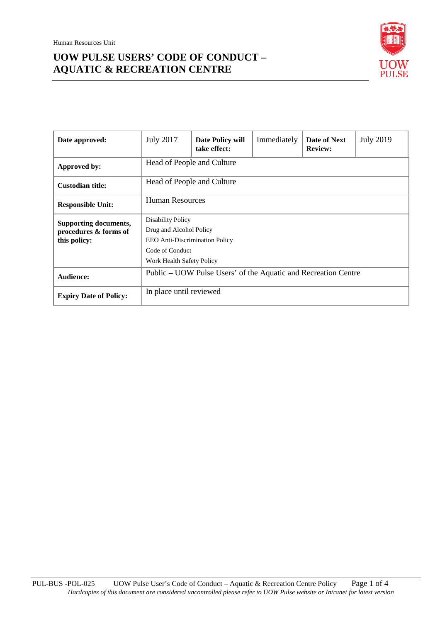

| Date approved:                                                        | <b>July 2017</b>                                                                                                                             | Date Policy will<br>take effect: | Immediately | Date of Next<br><b>Review:</b> | <b>July 2019</b> |  |
|-----------------------------------------------------------------------|----------------------------------------------------------------------------------------------------------------------------------------------|----------------------------------|-------------|--------------------------------|------------------|--|
| Approved by:                                                          | Head of People and Culture                                                                                                                   |                                  |             |                                |                  |  |
| <b>Custodian title:</b>                                               | Head of People and Culture                                                                                                                   |                                  |             |                                |                  |  |
| <b>Responsible Unit:</b>                                              | <b>Human Resources</b>                                                                                                                       |                                  |             |                                |                  |  |
| <b>Supporting documents,</b><br>procedures & forms of<br>this policy: | <b>Disability Policy</b><br>Drug and Alcohol Policy<br><b>EEO</b> Anti-Discrimination Policy<br>Code of Conduct<br>Work Health Safety Policy |                                  |             |                                |                  |  |
| <b>Audience:</b>                                                      | Public – UOW Pulse Users' of the Aquatic and Recreation Centre                                                                               |                                  |             |                                |                  |  |
| <b>Expiry Date of Policy:</b>                                         | In place until reviewed                                                                                                                      |                                  |             |                                |                  |  |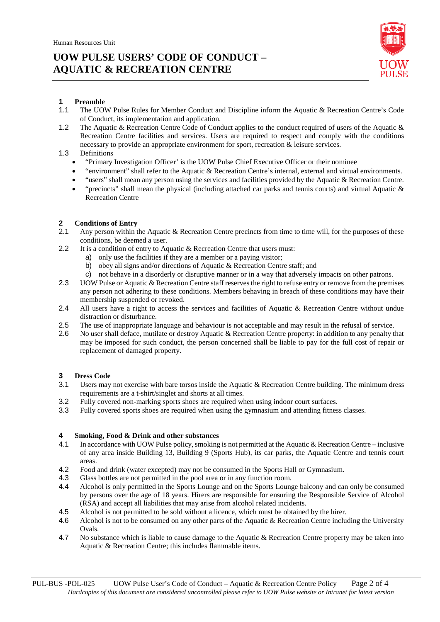

## **1 Preamble**

- 1.1 The UOW Pulse Rules for Member Conduct and Discipline inform the Aquatic & Recreation Centre's Code of Conduct, its implementation and application.
- 1.2 The Aquatic & Recreation Centre Code of Conduct applies to the conduct required of users of the Aquatic & Recreation Centre facilities and services. Users are required to respect and comply with the conditions necessary to provide an appropriate environment for sport, recreation  $\&$  leisure services.

### 1.3 Definitions

- "Primary Investigation Officer' is the UOW Pulse Chief Executive Officer or their nominee
- "environment" shall refer to the Aquatic & Recreation Centre's internal, external and virtual environments.
- "users" shall mean any person using the services and facilities provided by the Aquatic & Recreation Centre.
- "precincts" shall mean the physical (including attached car parks and tennis courts) and virtual Aquatic  $\&$ Recreation Centre

# **2 Conditions of Entry**<br>**2.1** Any person within t

- Any person within the Aquatic & Recreation Centre precincts from time to time will, for the purposes of these conditions, be deemed a user.
- 2.2 It is a condition of entry to Aquatic & Recreation Centre that users must:
	- a) only use the facilities if they are a member or a paying visitor;
	- b) obey all signs and/or directions of Aquatic & Recreation Centre staff; and
	- c) not behave in a disorderly or disruptive manner or in a way that adversely impacts on other patrons.
- 2.3 UOW Pulse or Aquatic & Recreation Centre staff reserves the right to refuse entry or remove from the premises any person not adhering to these conditions. Members behaving in breach of these conditions may have their membership suspended or revoked.
- 2.4 All users have a right to access the services and facilities of Aquatic & Recreation Centre without undue distraction or disturbance.
- 2.5 The use of inappropriate language and behaviour is not acceptable and may result in the refusal of service.
- 2.6 No user shall deface, mutilate or destroy Aquatic & Recreation Centre property: in addition to any penalty that may be imposed for such conduct, the person concerned shall be liable to pay for the full cost of repair or replacement of damaged property.

# **3 Dress Code**

- Users may not exercise with bare torsos inside the Aquatic & Recreation Centre building. The minimum dress requirements are a t-shirt/singlet and shorts at all times.
- 3.2 Fully covered non-marking sports shoes are required when using indoor court surfaces.
- 3.3 Fully covered sports shoes are required when using the gymnasium and attending fitness classes.

#### **4 Smoking, Food & Drink and other substances**

- 4.1 In accordance with UOW Pulse policy, smoking is not permitted at the Aquatic & Recreation Centre inclusive of any area inside Building 13, Building 9 (Sports Hub), its car parks, the Aquatic Centre and tennis court areas.
- 4.2 Food and drink (water excepted) may not be consumed in the Sports Hall or Gymnasium.<br>4.3 Glass bottles are not permitted in the pool area or in any function room.
- Glass bottles are not permitted in the pool area or in any function room.
- 4.4 Alcohol is only permitted in the Sports Lounge and on the Sports Lounge balcony and can only be consumed by persons over the age of 18 years. Hirers are responsible for ensuring the Responsible Service of Alcohol (RSA) and accept all liabilities that may arise from alcohol related incidents.
- 4.5 Alcohol is not permitted to be sold without a licence, which must be obtained by the hirer.
- 4.6 Alcohol is not to be consumed on any other parts of the Aquatic & Recreation Centre including the University Ovals.
- 4.7 No substance which is liable to cause damage to the Aquatic & Recreation Centre property may be taken into Aquatic & Recreation Centre; this includes flammable items.

PUL-BUS -POL-025 UOW Pulse User's Code of Conduct – Aquatic & Recreation Centre Policy Page 2 of 4 *Hardcopies of this document are considered uncontrolled please refer to UOW Pulse website or Intranet for latest version*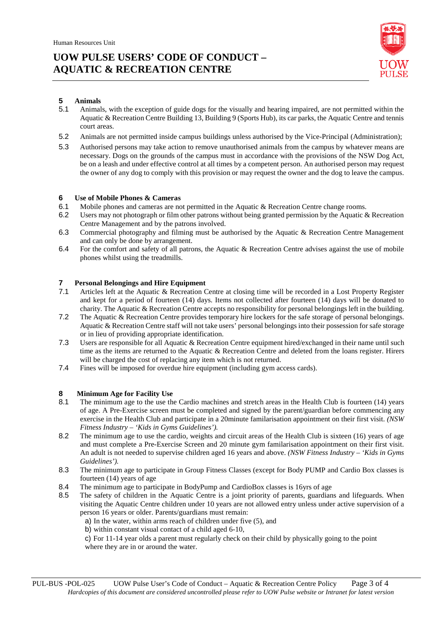

# **5 Animals**

- 5.1 Animals, with the exception of guide dogs for the visually and hearing impaired, are not permitted within the Aquatic & Recreation Centre Building 13, Building 9 (Sports Hub), its car parks, the Aquatic Centre and tennis court areas.
- 5.2 Animals are not permitted inside campus buildings unless authorised by the Vice-Principal (Administration);
- 5.3 Authorised persons may take action to remove unauthorised animals from the campus by whatever means are necessary. Dogs on the grounds of the campus must in accordance with the provisions of the NSW Dog Act, be on a leash and under effective control at all times by a competent person. An authorised person may request the owner of any dog to comply with this provision or may request the owner and the dog to leave the campus.

#### **6 Use of Mobile Phones & Cameras**

- 6.1 Mobile phones and cameras are not permitted in the Aquatic & Recreation Centre change rooms.
- 6.2 Users may not photograph or film other patrons without being granted permission by the Aquatic & Recreation Centre Management and by the patrons involved.
- 6.3 Commercial photography and filming must be authorised by the Aquatic & Recreation Centre Management and can only be done by arrangement.
- 6.4 For the comfort and safety of all patrons, the Aquatic & Recreation Centre advises against the use of mobile phones whilst using the treadmills.

## **7 Personal Belongings and Hire Equipment**<br>**7.1** Articles left at the Aquatic & Recreation C

- Articles left at the Aquatic & Recreation Centre at closing time will be recorded in a Lost Property Register and kept for a period of fourteen (14) days. Items not collected after fourteen (14) days will be donated to charity. The Aquatic & Recreation Centre accepts no responsibility for personal belongings left in the building.
- 7.2 The Aquatic & Recreation Centre provides temporary hire lockers for the safe storage of personal belongings. Aquatic & Recreation Centre staff will not take users' personal belongings into their possession for safe storage or in lieu of providing appropriate identification.
- 7.3 Users are responsible for all Aquatic & Recreation Centre equipment hired/exchanged in their name until such time as the items are returned to the Aquatic & Recreation Centre and deleted from the loans register. Hirers will be charged the cost of replacing any item which is not returned.
- 7.4 Fines will be imposed for overdue hire equipment (including gym access cards).

### **8 Minimum Age for Facility Use**

- 8.1 The minimum age to the use the Cardio machines and stretch areas in the Health Club is fourteen (14) years of age. A Pre-Exercise screen must be completed and signed by the parent/guardian before commencing any exercise in the Health Club and participate in a 20minute familarisation appointment on their first visit. *(NSW Fitness Industry – 'Kids in Gyms Guidelines').*
- 8.2 The minimum age to use the cardio, weights and circuit areas of the Health Club is sixteen (16) years of age and must complete a Pre-Exercise Screen and 20 minute gym familarisation appointment on their first visit. An adult is not needed to supervise children aged 16 years and above. *(NSW Fitness Industry – 'Kids in Gyms Guidelines').*
- 8.3 The minimum age to participate in Group Fitness Classes (except for Body PUMP and Cardio Box classes is fourteen (14) years of age
- 8.4 The minimum age to participate in BodyPump and CardioBox classes is 16yrs of age
- 8.5 The safety of children in the Aquatic Centre is a joint priority of parents, guardians and lifeguards. When visiting the Aquatic Centre children under 10 years are not allowed entry unless under active supervision of a person 16 years or older. Parents/guardians must remain:
	- a) In the water, within arms reach of children under five (5), and
	- b) within constant visual contact of a child aged 6-10,
	- c) For 11-14 year olds a parent must regularly check on their child by physically going to the point where they are in or around the water.